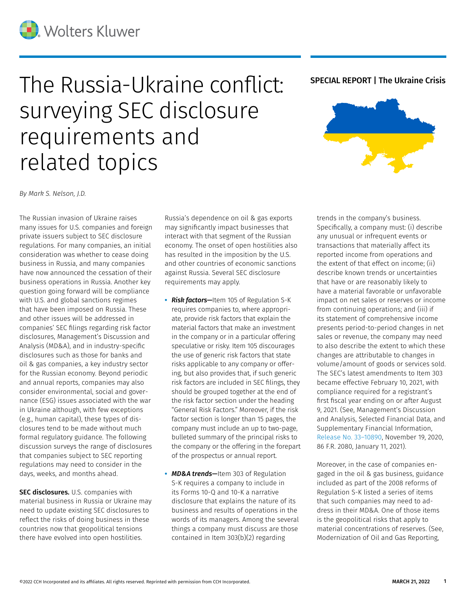## The Russia-Ukraine conflict: SPECIAL REPORT | The Ukraine Crisis surveying SEC disclosure requirements and related topics



*By Mark S. Nelson, J.D.*

The Russian invasion of Ukraine raises many issues for U.S. companies and foreign private issuers subject to SEC disclosure regulations. For many companies, an initial consideration was whether to cease doing business in Russia, and many companies have now announced the cessation of their business operations in Russia. Another key question going forward will be compliance with U.S. and global sanctions regimes that have been imposed on Russia. These and other issues will be addressed in companies' SEC filings regarding risk factor disclosures, Management's Discussion and Analysis (MD&A), and in industry-specific disclosures such as those for banks and oil & gas companies, a key industry sector for the Russian economy. Beyond periodic and annual reports, companies may also consider environmental, social and governance (ESG) issues associated with the war in Ukraine although, with few exceptions (e.g., human capital), these types of disclosures tend to be made without much formal regulatory guidance. The following discussion surveys the range of disclosures that companies subject to SEC reporting regulations may need to consider in the days, weeks, and months ahead.

SEC disclosures. U.S. companies with material business in Russia or Ukraine may need to update existing SEC disclosures to reflect the risks of doing business in these countries now that geopolitical tensions there have evolved into open hostilities.

Russia's dependence on oil & gas exports may significantly impact businesses that interact with that segment of the Russian economy. The onset of open hostilities also has resulted in the imposition by the U.S. and other countries of economic sanctions against Russia. Several SEC disclosure requirements may apply.

- **•** *Risk factors—*Item 105 of Regulation S-K requires companies to, where appropriate, provide risk factors that explain the material factors that make an investment in the company or in a particular offering speculative or risky. Item 105 discourages the use of generic risk factors that state risks applicable to any company or offering, but also provides that, if such generic risk factors are included in SEC filings, they should be grouped together at the end of the risk factor section under the heading "General Risk Factors." Moreover, if the risk factor section is longer than 15 pages, the company must include an up to two-page, bulleted summary of the principal risks to the company or the offering in the forepart of the prospectus or annual report.
- **•** *MD&A trends—*Item 303 of Regulation S-K requires a company to include in its Forms 10-Q and 10-K a narrative disclosure that explains the nature of its business and results of operations in the words of its managers. Among the several things a company must discuss are those contained in Item 303(b)(2) regarding

trends in the company's business. Specifically, a company must: (i) describe any unusual or infrequent events or transactions that materially affect its reported income from operations and the extent of that effect on income; (ii) describe known trends or uncertainties that have or are reasonably likely to have a material favorable or unfavorable impact on net sales or reserves or income from continuing operations; and (iii) if its statement of comprehensive income presents period-to-period changes in net sales or revenue, the company may need to also describe the extent to which these changes are attributable to changes in volume/amount of goods or services sold. The SEC's latest amendments to Item 303 became effective February 10, 2021, with compliance required for a registrant's first fiscal year ending on or after August 9, 2021. (See, Management's Discussion and Analysis, Selected Financial Data, and Supplementary Financial Information, [Release No. 33–10890,](https://www.govinfo.gov/content/pkg/FR-2021-01-11/pdf/2020-26090.pdf) November 19, 2020, 86 F.R. 2080, January 11, 2021).

Moreover, in the case of companies engaged in the oil & gas business, guidance included as part of the 2008 reforms of Regulation S-K listed a series of items that such companies may need to address in their MD&A. One of those items is the geopolitical risks that apply to material concentrations of reserves. (See, Modernization of Oil and Gas Reporting,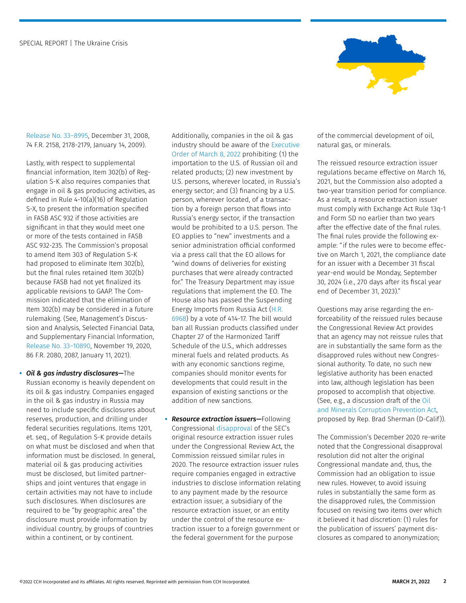

[Release No. 33–8995,](https://www.sec.gov/rules/final/2009/33-8995fr.pdf) December 31, 2008, 74 F.R. 2158, 2178-2179, January 14, 2009).

Lastly, with respect to supplemental financial information, Item 302(b) of Regulation S-K also requires companies that engage in oil & gas producing activities, as defined in Rule 4-10(a)(16) of Regulation S-X, to present the information specified in FASB ASC 932 if those activities are significant in that they would meet one or more of the tests contained in FASB ASC 932-235. The Commission's proposal to amend Item 303 of Regulation S-K had proposed to eliminate Item 302(b), but the final rules retained Item 302(b) because FASB had not yet finalized its applicable revisions to GAAP. The Commission indicated that the elimination of Item 302(b) may be considered in a future rulemaking. (See, Management's Discussion and Analysis, Selected Financial Data, and Supplementary Financial Information, [Release No. 33–10890,](https://www.govinfo.gov/content/pkg/FR-2021-01-11/pdf/2020-26090.pdf) November 19, 2020, 86 F.R. 2080, 2087, January 11, 2021).

**•** *Oil & gas industry disclosures—*The Russian economy is heavily dependent on its oil & gas industry. Companies engaged in the oil & gas industry in Russia may need to include specific disclosures about reserves, production, and drilling under federal securities regulations. Items 1201, et. seq., of Regulation S-K provide details on what must be disclosed and when that information must be disclosed. In general, material oil & gas producing activities must be disclosed, but limited partnerships and joint ventures that engage in certain activities may not have to include such disclosures. When disclosures are required to be "by geographic area" the disclosure must provide information by individual country, by groups of countries within a continent, or by continent.

Additionally, companies in the oil & gas industry should be aware of the [Executive](https://www.whitehouse.gov/briefing-room/presidential-actions/2022/03/08/executive-order-on-prohibiting-certain-imports-and-new-investments-with-respect-to-continued-russian-federation-efforts-to-undermine-the-sovereignty-and-territorial-integrity-of-ukraine/)  [Order of March 8, 2022](https://www.whitehouse.gov/briefing-room/presidential-actions/2022/03/08/executive-order-on-prohibiting-certain-imports-and-new-investments-with-respect-to-continued-russian-federation-efforts-to-undermine-the-sovereignty-and-territorial-integrity-of-ukraine/) prohibiting: (1) the importation to the U.S. of Russian oil and related products; (2) new investment by U.S. persons, wherever located, in Russia's energy sector; and (3) financing by a U.S. person, wherever located, of a transaction by a foreign person that flows into Russia's energy sector, if the transaction would be prohibited to a U.S. person. The EO applies to "new" investments and a senior administration official conformed via a press call that the EO allows for "wind downs of deliveries for existing purchases that were already contracted for." The Treasury Department may issue regulations that implement the EO. The House also has passed the Suspending Energy Imports from Russia Act ([H.R.](https://www.congress.gov/117/bills/hr6968/BILLS-117hr6968eh.pdf)  [6968\)](https://www.congress.gov/117/bills/hr6968/BILLS-117hr6968eh.pdf) by a vote of 414-17. The bill would ban all Russian products classified under Chapter 27 of the Harmonized Tariff Schedule of the U.S., which addresses mineral fuels and related products. As with any economic sanctions regime, companies should monitor events for developments that could result in the expansion of existing sanctions or the addition of new sanctions.

**•** *Resource extraction issuers—*Following Congressional [disapproval](https://business.cch.com/srd/SRD-MSN-ResourceExtractionIssuerRuleDiaspproval-021417.pdf) of the SEC's original resource extraction issuer rules under the Congressional Review Act, the Commission reissued similar rules in 2020. The resource extraction issuer rules require companies engaged in extractive industries to disclose information relating to any payment made by the resource extraction issuer, a subsidiary of the resource extraction issuer, or an entity under the control of the resource extraction issuer to a foreign government or the federal government for the purpose

of the commercial development of oil, natural gas, or minerals.

The reissued resource extraction issuer regulations became effective on March 16, 2021, but the Commission also adopted a two-year transition period for compliance. As a result, a resource extraction issuer must comply with Exchange Act Rule 13q-1 and Form SD no earlier than two years after the effective date of the final rules. The final rules provide the following example: "if the rules were to become effective on March 1, 2021, the compliance date for an issuer with a December 31 fiscal year-end would be Monday, September 30, 2024 (i.e., 270 days after its fiscal year end of December 31, 2023)."

Questions may arise regarding the enforceability of the reissued rules because the Congressional Review Act provides that an agency may not reissue rules that are in substantially the same form as the disapproved rules without new Congressional authority. To date, no such new legislative authority has been enacted into law, although legislation has been proposed to accomplish that objective. (See, e.g., a discussion draft of the [Oil](https://financialservices.house.gov/uploadedfiles/02.25_bills-1177ih.pdf)  [and Minerals Corruption Prevention Act,](https://financialservices.house.gov/uploadedfiles/02.25_bills-1177ih.pdf) proposed by Rep. Brad Sherman (D-Calif)).

The Commission's December 2020 re-write noted that the Congressional disapproval resolution did not alter the original Congressional mandate and, thus, the Commission had an obligation to issue new rules. However, to avoid issuing rules in substantially the same form as the disapproved rules, the Commission focused on revising two items over which it believed it had discretion: (1) rules for the publication of issuers' payment disclosures as compared to anonymization;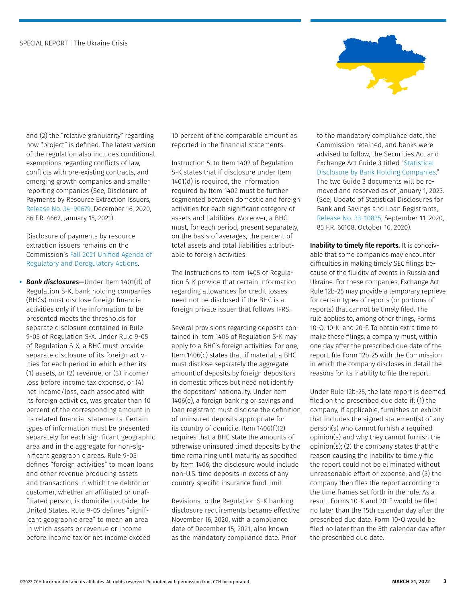

and (2) the "relative granularity" regarding how "project" is defined. The latest version of the regulation also includes conditional exemptions regarding conflicts of law, conflicts with pre-existing contracts, and emerging growth companies and smaller reporting companies (See, Disclosure of Payments by Resource Extraction Issuers, [Release No. 34–90679](https://www.govinfo.gov/content/pkg/FR-2021-01-15/pdf/2020-28103.pdf), December 16, 2020, 86 F.R. 4662, January 15, 2021).

Disclosure of payments by resource extraction issuers remains on the Commission's [Fall 2021 Unified Agenda of](https://www.reginfo.gov/public/do/eAgendaMain?operation=OPERATION_GET_AGENCY_RULE_LIST¤tPub=true&agencyCode=&showStage=active&agencyCd=3235&csrf_token=1AB211DDC941A99452C05B6E780FA58E8C5BDA5BBCA1A42FC176A2F28F8A20106518DF6B7B05F630307025BA5FFEE9780C0B)  [Regulatory and Deregulatory Actions](https://www.reginfo.gov/public/do/eAgendaMain?operation=OPERATION_GET_AGENCY_RULE_LIST¤tPub=true&agencyCode=&showStage=active&agencyCd=3235&csrf_token=1AB211DDC941A99452C05B6E780FA58E8C5BDA5BBCA1A42FC176A2F28F8A20106518DF6B7B05F630307025BA5FFEE9780C0B).

**•** *Bank disclosures—*Under Item 1401(d) of Regulation S-K, bank holding companies (BHCs) must disclose foreign financial activities only if the information to be presented meets the thresholds for separate disclosure contained in Rule 9-05 of Regulation S-X. Under Rule 9-05 of Regulation S-X, a BHC must provide separate disclosure of its foreign activities for each period in which either its (1) assets, or (2) revenue, or (3) income/ loss before income tax expense, or (4) net income/loss, each associated with its foreign activities, was greater than 10 percent of the corresponding amount in its related financial statements. Certain types of information must be presented separately for each significant geographic area and in the aggregate for non-significant geographic areas. Rule 9-05 defines "foreign activities" to mean loans and other revenue producing assets and transactions in which the debtor or customer, whether an affiliated or unaffiliated person, is domiciled outside the United States. Rule 9-05 defines "significant geographic area" to mean an area in which assets or revenue or income before income tax or net income exceed

10 percent of the comparable amount as reported in the financial statements.

Instruction 5. to Item 1402 of Regulation S-K states that if disclosure under Item 1401(d) is required, the information required by Item 1402 must be further segmented between domestic and foreign activities for each significant category of assets and liabilities. Moreover, a BHC must, for each period, present separately, on the basis of averages, the percent of total assets and total liabilities attributable to foreign activities.

The Instructions to Item 1405 of Regulation S-K provide that certain information regarding allowances for credit losses need not be disclosed if the BHC is a foreign private issuer that follows IFRS.

Several provisions regarding deposits contained in Item 1406 of Regulation S-K may apply to a BHC's foreign activities. For one, Item 1406(c) states that, if material, a BHC must disclose separately the aggregate amount of deposits by foreign depositors in domestic offices but need not identify the depositors' nationality. Under Item 1406(e), a foreign banking or savings and loan registrant must disclose the definition of uninsured deposits appropriate for its country of domicile. Item 1406(f)(2) requires that a BHC state the amounts of otherwise uninsured timed deposits by the time remaining until maturity as specified by Item 1406; the disclosure would include non-U.S. time deposits in excess of any country-specific insurance fund limit.

Revisions to the Regulation S-K banking disclosure requirements became effective November 16, 2020, with a compliance date of December 15, 2021, also known as the mandatory compliance date. Prior

to the mandatory compliance date, the Commission retained, and banks were advised to follow, the Securities Act and Exchange Act Guide 3 titled "[Statistical](https://business.cch.com/srd/Release—Guide3—StatisticalDisclosurebyBankHoldingCompanies;GeneralInstructionsSecuritiesandExchangeCommission.pdf)  [Disclosure by Bank Holding Companies.](https://business.cch.com/srd/Release—Guide3—StatisticalDisclosurebyBankHoldingCompanies;GeneralInstructionsSecuritiesandExchangeCommission.pdf)" The two Guide 3 documents will be removed and reserved as of January 1, 2023. (See, Update of Statistical Disclosures for Bank and Savings and Loan Registrants, [Release No. 33–10835,](https://www.govinfo.gov/content/pkg/FR-2020-10-16/pdf/2020-20655.pdf) September 11, 2020, 85 F.R. 66108, October 16, 2020).

Inability to timely file reports. It is conceivable that some companies may encounter difficulties in making timely SEC filings because of the fluidity of events in Russia and Ukraine. For these companies, Exchange Act Rule 12b-25 may provide a temporary reprieve for certain types of reports (or portions of reports) that cannot be timely filed. The rule applies to, among other things, Forms 10-Q, 10-K, and 20-F. To obtain extra time to make these filings, a company must, within one day after the prescribed due date of the report, file Form 12b-25 with the Commission in which the company discloses in detail the reasons for its inability to file the report.

Under Rule 12b-25, the late report is deemed filed on the prescribed due date if: (1) the company, if applicable, furnishes an exhibit that includes the signed statement(s) of any person(s) who cannot furnish a required opinion(s) and why they cannot furnish the opinion(s); (2) the company states that the reason causing the inability to timely file the report could not be eliminated without unreasonable effort or expense; and (3) the company then files the report according to the time frames set forth in the rule. As a result, Forms 10-K and 20-F would be filed no later than the 15th calendar day after the prescribed due date. Form 10-Q would be filed no later than the 5th calendar day after the prescribed due date.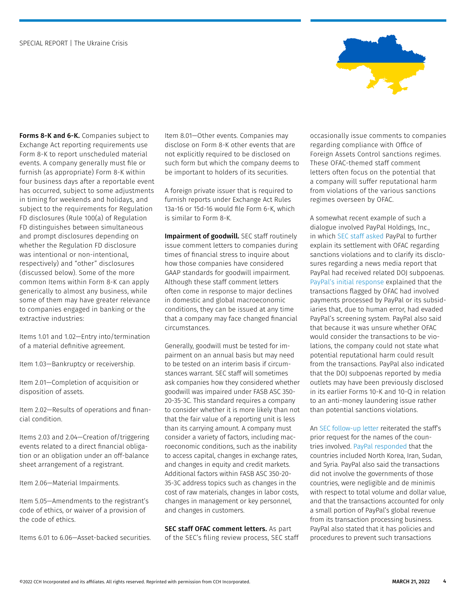

Forms 8-K and 6-K. Companies subject to Exchange Act reporting requirements use Form 8-K to report unscheduled material events. A company generally must file or furnish (as appropriate) Form 8-K within four business days after a reportable event has occurred, subject to some adjustments in timing for weekends and holidays, and subject to the requirements for Regulation FD disclosures (Rule 100(a) of Regulation FD distinguishes between simultaneous and prompt disclosures depending on whether the Regulation FD disclosure was intentional or non-intentional, respectively) and "other" disclosures (discussed below). Some of the more common Items within Form 8-K can apply generically to almost any business, while some of them may have greater relevance to companies engaged in banking or the extractive industries:

Items 1.01 and 1.02—Entry into/termination of a material definitive agreement.

Item 1.03—Bankruptcy or receivership.

Item 2.01—Completion of acquisition or disposition of assets.

Item 2.02—Results of operations and financial condition.

Items 2.03 and 2.04—Creation of/triggering events related to a direct financial obligation or an obligation under an off-balance sheet arrangement of a registrant.

Item 2.06—Material Impairments.

Item 5.05—Amendments to the registrant's code of ethics, or waiver of a provision of the code of ethics.

Items 6.01 to 6.06—Asset-backed securities.

Item 8.01—Other events. Companies may disclose on Form 8-K other events that are not explicitly required to be disclosed on such form but which the company deems to be important to holders of its securities.

A foreign private issuer that is required to furnish reports under Exchange Act Rules 13a-16 or 15d-16 would file Form 6-K, which is similar to Form 8-K.

Impairment of goodwill. SEC staff routinely issue comment letters to companies during times of financial stress to inquire about how those companies have considered GAAP standards for goodwill impairment. Although these staff comment letters often come in response to major declines in domestic and global macroeconomic conditions, they can be issued at any time that a company may face changed financial circumstances.

Generally, goodwill must be tested for impairment on an annual basis but may need to be tested on an interim basis if circumstances warrant. SEC staff will sometimes ask companies how they considered whether goodwill was impaired under FASB ASC 350- 20-35-3C. This standard requires a company to consider whether it is more likely than not that the fair value of a reporting unit is less than its carrying amount. A company must consider a variety of factors, including macroeconomic conditions, such as the inability to access capital, changes in exchange rates, and changes in equity and credit markets. Additional factors within FASB ASC 350-20- 35-3C address topics such as changes in the cost of raw materials, changes in labor costs, changes in management or key personnel, and changes in customers.

SEC staff OFAC comment letters. As part of the SEC's filing review process, SEC staff

occasionally issue comments to companies regarding compliance with Office of Foreign Assets Control sanctions regimes. These OFAC-themed staff comment letters often focus on the potential that a company will suffer reputational harm from violations of the various sanctions regimes overseen by OFAC.

A somewhat recent example of such a dialogue involved PayPal Holdings, Inc., in which [SEC staff asked](https://www.sec.gov/Archives/edgar/data/0001633917/000000000019009683/filename1.pdf) PayPal to further explain its settlement with OFAC regarding sanctions violations and to clarify its disclosures regarding a news media report that PayPal had received related DOJ subpoenas. [PayPal's initial response](https://www.sec.gov/Archives/edgar/data/0001633917/000163391719000166/filename1.htm) explained that the transactions flagged by OFAC had involved payments processed by PayPal or its subsidiaries that, due to human error, had evaded PayPal's screening system. PayPal also said that because it was unsure whether OFAC would consider the transactions to be violations, the company could not state what potential reputational harm could result from the transactions. PayPal also indicated that the DOJ subpoenas reported by media outlets may have been previously disclosed in its earlier Forms 10-K and 10-Q in relation to an anti-money laundering issue rather than potential sanctions violations.

An [SEC follow-up letter](https://www.sec.gov/Archives/edgar/data/0001633917/000000000019010564/filename1.pdf) reiterated the staff's prior request for the names of the countries involved. [PayPal responded](https://www.sec.gov/Archives/edgar/data/0001633917/000163391719000170/filename1.htm) that the countries included North Korea, Iran, Sudan, and Syria. PayPal also said the transactions did not involve the governments of those countries, were negligible and de minimis with respect to total volume and dollar value, and that the transactions accounted for only a small portion of PayPal's global revenue from its transaction processing business. PayPal also stated that it has policies and procedures to prevent such transactions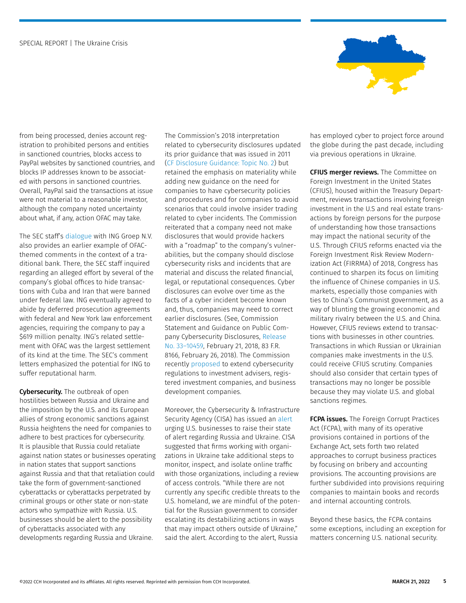

from being processed, denies account registration to prohibited persons and entities in sanctioned countries, blocks access to PayPal websites by sanctioned countries, and blocks IP addresses known to be associated with persons in sanctioned countries. Overall, PayPal said the transactions at issue were not material to a reasonable investor, although the company noted uncertainty about what, if any, action OFAC may take.

The SEC staff's [dialogue](https://business.cch.com/srd/SRD-MSN-INGStaffComments-03242014.pdf) with ING Groep N.V. also provides an earlier example of OFACthemed comments in the context of a traditional bank. There, the SEC staff inquired regarding an alleged effort by several of the company's global offices to hide transactions with Cuba and Iran that were banned under federal law. ING eventually agreed to abide by deferred prosecution agreements with federal and New York law enforcement agencies, requiring the company to pay a \$619 million penalty. ING's related settlement with OFAC was the largest settlement of its kind at the time. The SEC's comment letters emphasized the potential for ING to suffer reputational harm.

Cybersecurity. The outbreak of open hostilities between Russia and Ukraine and the imposition by the U.S. and its European allies of strong economic sanctions against Russia heightens the need for companies to adhere to best practices for cybersecurity. It is plausible that Russia could retaliate against nation states or businesses operating in nation states that support sanctions against Russia and that that retaliation could take the form of government-sanctioned cyberattacks or cyberattacks perpetrated by criminal groups or other state or non-state actors who sympathize with Russia. U.S. businesses should be alert to the possibility of cyberattacks associated with any developments regarding Russia and Ukraine.

The Commission's 2018 interpretation related to cybersecurity disclosures updated its prior guidance that was issued in 2011 [\(CF Disclosure Guidance: Topic No. 2](https://www.sec.gov/divisions/corpfin/guidance/cfguidance-topic2.htm)) but retained the emphasis on materiality while adding new guidance on the need for companies to have cybersecurity policies and procedures and for companies to avoid scenarios that could involve insider trading related to cyber incidents. The Commission reiterated that a company need not make disclosures that would provide hackers with a "roadmap" to the company's vulnerabilities, but the company should disclose cybersecurity risks and incidents that are material and discuss the related financial, legal, or reputational consequences. Cyber disclosures can evolve over time as the facts of a cyber incident become known and, thus, companies may need to correct earlier disclosures. (See, Commission Statement and Guidance on Public Company Cybersecurity Disclosures, [Release](https://www.govinfo.gov/content/pkg/FR-2018-02-26/pdf/2018-03858.pdf)  [No. 33–10459](https://www.govinfo.gov/content/pkg/FR-2018-02-26/pdf/2018-03858.pdf), February 21, 2018, 83 F.R. 8166, February 26, 2018). The Commission recently [proposed](https://www.sec.gov/rules/proposed/2022/33-11028.pdf) to extend cybersecurity regulations to investment advisers, registered investment companies, and business development companies.

Moreover, the Cybersecurity & Infrastructure Security Agency (CISA) has issued an [alert](https://www.cisa.gov/shields-up) urging U.S. businesses to raise their state of alert regarding Russia and Ukraine. CISA suggested that firms working with organizations in Ukraine take additional steps to monitor, inspect, and isolate online traffic with those organizations, including a review of access controls. "While there are not currently any specific credible threats to the U.S. homeland, we are mindful of the potential for the Russian government to consider escalating its destabilizing actions in ways that may impact others outside of Ukraine," said the alert. According to the alert, Russia

has employed cyber to project force around the globe during the past decade, including via previous operations in Ukraine.

CFIUS merger reviews. The Committee on Foreign Investment in the United States (CFIUS), housed within the Treasury Department, reviews transactions involving foreign investment in the U.S and real estate transactions by foreign persons for the purpose of understanding how those transactions may impact the national security of the U.S. Through CFIUS reforms enacted via the Foreign Investment Risk Review Modernization Act (FIRRMA) of 2018, Congress has continued to sharpen its focus on limiting the influence of Chinese companies in U.S. markets, especially those companies with ties to China's Communist government, as a way of blunting the growing economic and military rivalry between the U.S. and China. However, CFIUS reviews extend to transactions with businesses in other countries. Transactions in which Russian or Ukrainian companies make investments in the U.S. could receive CFIUS scrutiny. Companies should also consider that certain types of transactions may no longer be possible because they may violate U.S. and global sanctions regimes.

**FCPA issues.** The Foreign Corrupt Practices Act (FCPA), with many of its operative provisions contained in portions of the Exchange Act, sets forth two related approaches to corrupt business practices by focusing on bribery and accounting provisions. The accounting provisions are further subdivided into provisions requiring companies to maintain books and records and internal accounting controls.

Beyond these basics, the FCPA contains some exceptions, including an exception for matters concerning U.S. national security.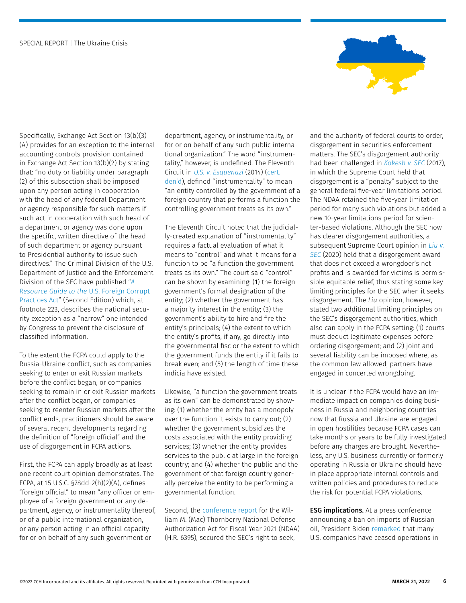

Specifically, Exchange Act Section 13(b)(3) (A) provides for an exception to the internal accounting controls provision contained in Exchange Act Section 13(b)(2) by stating that: "no duty or liability under paragraph (2) of this subsection shall be imposed upon any person acting in cooperation with the head of any federal Department or agency responsible for such matters if such act in cooperation with such head of a department or agency was done upon the specific, written directive of the head of such department or agency pursuant to Presidential authority to issue such directives." The Criminal Division of the U.S. Department of Justice and the Enforcement Division of the SEC have published "*[A](https://www.justice.gov/criminal-fraud/file/1292051/download)  [Resource Guide to the](https://www.justice.gov/criminal-fraud/file/1292051/download)* U.S. Foreign Corrupt [Practices Act](https://www.justice.gov/criminal-fraud/file/1292051/download)" (Second Edition) which, at footnote 223, describes the national security exception as a "narrow" one intended by Congress to prevent the disclosure of classified information.

To the extent the FCPA could apply to the Russia-Ukraine conflict, such as companies seeking to enter or exit Russian markets before the conflict began, or companies seeking to remain in or exit Russian markets after the conflict began, or companies seeking to reenter Russian markets after the conflict ends, practitioners should be aware of several recent developments regarding the definition of "foreign official" and the use of disgorgement in FCPA actions.

First, the FCPA can apply broadly as at least one recent court opinion demonstrates. The FCPA, at 15 U.S.C. §78dd-2(h)(2)(A), defines "foreign official" to mean "any officer or employee of a foreign government or any department, agency, or instrumentality thereof, or of a public international organization, or any person acting in an official capacity for or on behalf of any such government or

department, agency, or instrumentality, or for or on behalf of any such public international organization." The word "instrumentality," however, is undefined. The Eleventh Circuit in *[U.S. v. Esquenazi](https://business.cch.com/srd/US-v-Esquenazi.pdf)* (2014) [\(cert.](https://www.supremecourt.gov/orders/courtorders/100614zor.pdf)  [den'd](https://www.supremecourt.gov/orders/courtorders/100614zor.pdf)), defined "instrumentality" to mean "an entity controlled by the government of a foreign country that performs a function the controlling government treats as its own."

The Eleventh Circuit noted that the judicially-created explanation of "instrumentality" requires a factual evaluation of what it means to "control" and what it means for a function to be "a function the government treats as its own." The court said "control" can be shown by examining: (1) the foreign government's formal designation of the entity; (2) whether the government has a majority interest in the entity; (3) the government's ability to hire and fire the entity's principals; (4) the extent to which the entity's profits, if any, go directly into the governmental fisc or the extent to which the government funds the entity if it fails to break even; and (5) the length of time these indicia have existed.

Likewise, "a function the government treats as its own" can be demonstrated by showing: (1) whether the entity has a monopoly over the function it exists to carry out; (2) whether the government subsidizes the costs associated with the entity providing services; (3) whether the entity provides services to the public at large in the foreign country; and (4) whether the public and the government of that foreign country generally perceive the entity to be performing a governmental function.

Second, the [conference report](https://docs.house.gov/billsthisweek/20201207/CRPT-116hrpt617.pdf) for the William M. (Mac) Thornberry National Defense Authorization Act for Fiscal Year 2021 (NDAA) (H.R. 6395), secured the SEC's right to seek,

and the authority of federal courts to order, disgorgement in securities enforcement matters. The SEC's disgorgement authority had been challenged in *[Kokesh v. SEC](https://business.cch.com/srd/16-529_i426-060517.pdf)* (2017), in which the Supreme Court held that disgorgement is a "penalty" subject to the general federal five-year limitations period. The NDAA retained the five-year limitation period for many such violations but added a new 10-year limitations period for scienter-based violations. Although the SEC now has clearer disgorgement authorities, a subsequent Supreme Court opinion in *[Liu v.](https://business.cch.com/srd/Liu-v-SEC-Opinion-062220.pdf)  [SEC](https://business.cch.com/srd/Liu-v-SEC-Opinion-062220.pdf)* (2020) held that a disgorgement award that does not exceed a wrongdoer's net profits and is awarded for victims is permissible equitable relief, thus stating some key limiting principles for the SEC when it seeks disgorgement. The *Liu* opinion, however, stated two additional limiting principles on the SEC's disgorgement authorities, which also can apply in the FCPA setting: (1) courts must deduct legitimate expenses before ordering disgorgement; and (2) joint and several liability can be imposed where, as the common law allowed, partners have engaged in concerted wrongdoing.

It is unclear if the FCPA would have an immediate impact on companies doing business in Russia and neighboring countries now that Russia and Ukraine are engaged in open hostilities because FCPA cases can take months or years to be fully investigated before any charges are brought. Nevertheless, any U.S. business currently or formerly operating in Russia or Ukraine should have in place appropriate internal controls and written policies and procedures to reduce the risk for potential FCPA violations.

**ESG implications.** At a press conference announcing a ban on imports of Russian oil, President Biden [remarked](https://www.whitehouse.gov/briefing-room/speeches-remarks/2022/03/08/remarks-by-president-biden-announcing-u-s-ban-on-imports-of-russian-oil-liquefied-natural-gas-and-coal/) that many U.S. companies have ceased operations in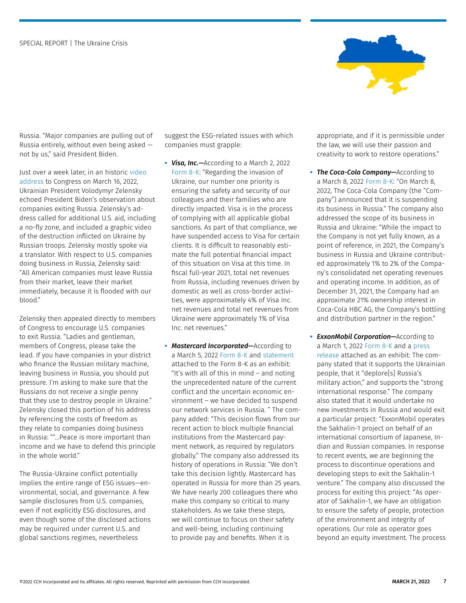

Russia. "Major companies are pulling out of Russia entirely, without even being asked not by us," said President Biden.

Just over a week later, in an historic [video](https://www.c-span.org/video/?518685-1/ukrainian-president-zelensky-calls-us-back-fly-zone-provide-defensive-weapons)  [address](https://www.c-span.org/video/?518685-1/ukrainian-president-zelensky-calls-us-back-fly-zone-provide-defensive-weapons) to Congress on March 16, 2022, Ukrainian President Volodymyr Zelensky echoed President Biden's observation about companies exiting Russia. Zelensky's address called for additional U.S. aid, including a no-fly zone, and included a graphic video of the destruction inflicted on Ukraine by Russian troops. Zelensky mostly spoke via a translator. With respect to U.S. companies doing business in Russia, Zelensky said: "All American companies must leave Russia from their market, leave their market immediately, because it is flooded with our blood."

Zelensky then appealed directly to members of Congress to encourage U.S. companies to exit Russia. "Ladies and gentleman, members of Congress, please take the lead. If you have companies in your district who finance the Russian military machine, leaving business in Russia, you should put pressure. I'm asking to make sure that the Russians do not receive a single penny that they use to destroy people in Ukraine." Zelensky closed this portion of his address by referencing the costs of freedom as they relate to companies doing business in Russia: ""…Peace is more important than income and we have to defend this principle in the whole world."

The Russia-Ukraine conflict potentially implies the entire range of ESG issues—environmental, social, and governance. A few sample disclosures from U.S. companies, even if not explicitly ESG disclosures, and even though some of the disclosed actions may be required under current U.S. and global sanctions regimes, nevertheless

suggest the ESG-related issues with which companies must grapple:

- **•** *Visa, Inc.—*According to a March 2, 2022 [Form 8-K:](https://www.sec.gov/ix?doc=/Archives/edgar/data/0001403161/000140316122000016/v-20220302.htm) "Regarding the invasion of Ukraine, our number one priority is ensuring the safety and security of our colleagues and their families who are directly impacted. Visa is in the process of complying with all applicable global sanctions. As part of that compliance, we have suspended access to Visa for certain clients. It is difficult to reasonably estimate the full potential financial impact of this situation on Visa at this time. In fiscal full-year 2021, total net revenues from Russia, including revenues driven by domestic as well as cross-border activities, were approximately 4% of Visa Inc. net revenues and total net revenues from Ukraine were approximately 1% of Visa Inc. net revenues."
- **•** *Mastercard Incorporated—*According to a March 5, 2022 [Form 8-K](https://www.sec.gov/ix?doc=/Archives/edgar/data/0001141391/000114139122000062/ma-20220305.htm) and [statement](https://www.sec.gov/Archives/edgar/data/0001141391/000114139122000062/ma03072022-statement.htm) attached to the Form 8-K as an exhibit: "It's with all of this in mind – and noting the unprecedented nature of the current conflict and the uncertain economic environment – we have decided to suspend our network services in Russia. " The company added: "This decision flows from our recent action to block multiple financial institutions from the Mastercard payment network, as required by regulators globally." The company also addressed its history of operations in Russia: "We don't take this decision lightly. Mastercard has operated in Russia for more than 25 years. We have nearly 200 colleagues there who make this company so critical to many stakeholders. As we take these steps, we will continue to focus on their safety and well-being, including continuing to provide pay and benefits. When it is

appropriate, and if it is permissible under the law, we will use their passion and creativity to work to restore operations."

- **•** *The Coca-Cola Company—*According to a March 8, 2022 [Form 8-K:](https://www.sec.gov/ix?doc=/Archives/edgar/data/0000021344/000155278122000242/e22134_ko-8k.htm) "On March 8, 2022, The Coca-Cola Company (the "Company") announced that it is suspending its business in Russia." The company also addressed the scope of its business in Russia and Ukraine: "While the impact to the Company is not yet fully known, as a point of reference, in 2021, the Company's business in Russia and Ukraine contributed approximately 1% to 2% of the Company's consolidated net operating revenues and operating income. In addition, as of December 31, 2021, the Company had an approximate 21% ownership interest in Coca-Cola HBC AG, the Company's bottling and distribution partner in the region."
- **•** *ExxonMobil Corporation—*According to a March 1, 2022 [Form 8-K](https://www.sec.gov/ix?doc=/Archives/edgar/data/0000034088/000003408822000013/xom-20220301.htm) and a [press](https://www.sec.gov/Archives/edgar/data/0000034088/000003408822000013/xomexhibit99103012022.htm)  [release](https://www.sec.gov/Archives/edgar/data/0000034088/000003408822000013/xomexhibit99103012022.htm) attached as an exhibit: The company stated that it supports the Ukrainian people, that it "deplore[s] Russia's military action," and supports the "strong international response." The company also stated that it would undertake no new investments in Russia and would exit a particular project: "ExxonMobil operates the Sakhalin-1 project on behalf of an international consortium of Japanese, Indian and Russian companies. In response to recent events, we are beginning the process to discontinue operations and developing steps to exit the Sakhalin-1 venture." The company also discussed the process for exiting this project: "As operator of Sakhalin-1, we have an obligation to ensure the safety of people, protection of the environment and integrity of operations. Our role as operator goes beyond an equity investment. The process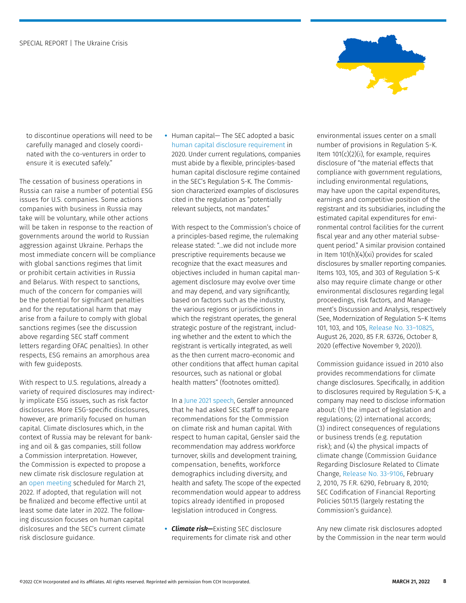

to discontinue operations will need to be carefully managed and closely coordinated with the co-venturers in order to ensure it is executed safely."

The cessation of business operations in Russia can raise a number of potential ESG issues for U.S. companies. Some actions companies with business in Russia may take will be voluntary, while other actions will be taken in response to the reaction of governments around the world to Russian aggression against Ukraine. Perhaps the most immediate concern will be compliance with global sanctions regimes that limit or prohibit certain activities in Russia and Belarus. With respect to sanctions, much of the concern for companies will be the potential for significant penalties and for the reputational harm that may arise from a failure to comply with global sanctions regimes (see the discussion above regarding SEC staff comment letters regarding OFAC penalties). In other respects, ESG remains an amorphous area with few guideposts.

With respect to U.S. regulations, already a variety of required disclosures may indirectly implicate ESG issues, such as risk factor disclosures. More ESG-specific disclosures, however, are primarily focused on human capital. Climate disclosures which, in the context of Russia may be relevant for banking and oil & gas companies, still follow a Commission interpretation. However, the Commission is expected to propose a new climate risk disclosure regulation at an [open meeting](https://www.sec.gov/os/sunshine-act-notices/sunshine-act-notice-open-032122) scheduled for March 21, 2022. If adopted, that regulation will not be finalized and become effective until at least some date later in 2022. The following discussion focuses on human capital dislcosures and the SEC's current climate risk disclosure guidance.

**•** Human capital— The SEC adopted a basic [human capital disclosure requirement](https://www.govinfo.gov/content/pkg/FR-2020-10-08/pdf/2020-19182.pdf) in 2020. Under current regulations, companies must abide by a flexible, principles-based human capital disclosure regime contained in the SEC's Regulation S-K. The Commission characterized examples of disclosures cited in the regulation as "potentially relevant subjects, not mandates."

With respect to the Commission's choice of a principles-based regime, the rulemaking release stated: "…we did not include more prescriptive requirements because we recognize that the exact measures and objectives included in human capital management disclosure may evolve over time and may depend, and vary significantly, based on factors such as the industry, the various regions or jurisdictions in which the registrant operates, the general strategic posture of the registrant, including whether and the extent to which the registrant is vertically integrated, as well as the then current macro-economic and other conditions that affect human capital resources, such as national or global health matters" (footnotes omitted).

In a [June 2021 speech](https://www.sec.gov/news/speech/gensler-speech-london-city-week-062321), Gensler announced that he had asked SEC staff to prepare recommendations for the Commission on climate risk and human capital. With respect to human capital, Gensler said the recommendation may address workforce turnover, skills and development training, compensation, benefits, workforce demographics including diversity, and health and safety. The scope of the expected recommendation would appear to address topics already identified in proposed legislation introduced in Congress.

**•** *Climate risk—*Existing SEC disclosure requirements for climate risk and other environmental issues center on a small number of provisions in Regulation S-K. Item  $101(c)(2)(i)$ , for example, requires disclosure of "the material effects that compliance with government regulations, including environmental regulations, may have upon the capital expenditures, earnings and competitive position of the registrant and its subsidiaries, including the estimated capital expenditures for environmental control facilities for the current fiscal year and any other material subsequent period." A similar provision contained in Item 101(h)(4)(xi) provides for scaled disclosures by smaller reporting companies. Items 103, 105, and 303 of Regulation S-K also may require climate change or other environmental disclosures regarding legal proceedings, risk factors, and Management's Discussion and Analysis, respectively (See, Modernization of Regulation S–K Items 101, 103, and 105, [Release No. 33–10825](https://www.govinfo.gov/content/pkg/FR-2020-10-08/pdf/2020-19182.pdf), August 26, 2020, 85 F.R. 63726, October 8, 2020 (effective November 9, 2020)).

Commission guidance issued in 2010 also provides recommendations for climate change disclosures. Specifically, in addition to disclosures required by Regulation S-K, a company may need to disclose information about: (1) the impact of legislation and regulations; (2) international accords; (3) indirect consequences of regulations or business trends (e.g. reputation risk); and (4) the physical impacts of climate change (Commission Guidance Regarding Disclosure Related to Climate Change, [Release No. 33-9106](http://business.cch.com/srd/33-9106.pdf), February 2, 2010, 75 F.R. 6290, February 8, 2010; SEC Codification of Financial Reporting Policies 501.15 (largely restating the Commission's guidance).

Any new climate risk disclosures adopted by the Commission in the near term would